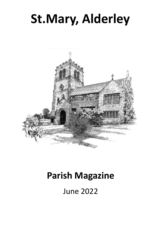# **St.Mary, Alderley**



## **Parish Magazine**

June 2022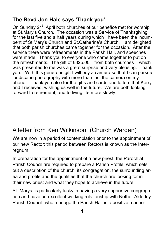## **The Revd Jon Hale says 'Thank you'.**

On Sunday  $24<sup>th</sup>$  April both churches of our benefice met for worship at St.Mary's Church. The occasion was a Service of Thanksgiving for the last five and a half years during which I have been the incumbent of St.Mary's Church and St.Catherine's Church. I am delighted that both parish churches came together for the occasion. After the service there were refreshments in the Parish Hall, and speeches were made. Thank you to everyone who came together to put on the refreshments. The gift of £825.00 – from both churches – which was presented to me was a great surprise and very pleasing. Thank you. With this generous gift I will buy a camera so that I can pursue landscape photography with more than just the camera on my phone. Thank you also for the gifts and cards and letters that Kerry and I received, wishing us well in the future. We are both looking forward to retirement, and to living life more slowly.

## A letter from Ken Wilkinson (Church Warden)

We are now in a period of contemplation prior to the appointment of our new Rector; this period between Rectors is known as the Interregnum.

In preparation for the appointment of a new priest, the Parochial Parish Council are required to prepare a Parish Profile, which sets out a description of the church, its congregation, the surrounding area and profile and the qualities that the church are looking for in their new priest and what they hope to achieve in the future.

St. Marys is particularly lucky in having a very supportive congregation and have an excellent working relationship with Nether Alderley Parish Council, who manage the Parish Hall in a positive manner.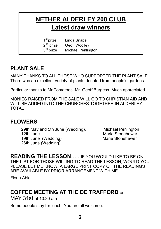## **NETHER ALDERLEY 200 CLUB Latest draw winners**

1<sup>st</sup> prize Linda Snape 2<sup>nd</sup> prize Geoff Woollev  $3<sup>rd</sup>$  prize Michael Penlington

## **PLANT SALE**

MANY THANKS TO ALL THOSE WHO SUPPORTED THE PLANT SALE. There was an excellent variety of plants donated from people's gardens.

Particular thanks to Mr Tomatoes, Mr Geoff Burgess. Much appreciated.

MONIES RAISED FROM THE SALE WILL GO TO CHRISTIAN AID AND WILL BE ADDED INTO THE CHURCHES TOGETHER IN ALDERLEY TOTAL

### **FLOWERS**

29th May and 5th June (Wedding). Michael Penlington 12th June.<br>
19th June. (Wedding) **Marie Stonehewer**<br>
Marie Stonehewer 19th June (Wedding). 26th June (Wedding)

**READING THE LESSON**….. IF YOU WOULD LIKE TO BE ON THE LIST FOR THOSE WILLING TO READ THE LESSON, WOULD YOU PLEASE LET ME KNOW. A LARGE PRINT COPY OF THE READINGS ARE AVAILABLE BY PRIOR ARRANGEMENT WITH ME.

Fiona Ablet

## **COFFEE MEETING AT THE DE TRAFFORD** on

MAY 31st at 10.30 am

Some people stay for lunch. You are all welcome.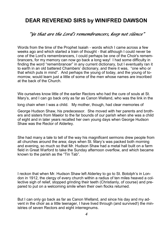## **DEAR REVEREND SIRS by WINIFRED DAWSON**

#### *"Ye that are the Lord's remembrancers, keep not silence"*

Words from the time of the Prophet Isaiah - words which I came across a few weeks ago and which started a train of thought - that although I could never be one of the Lord's remembrancers, I could perhaps be one of the Choir's remembrancers, for my memory can now go back a long way! I had some difficulty in finding the word "remembrancer" in any current dictionary, but I eventually ran it to earth in an old battered Chambers' dictionary, and there it was, "one who or that which puts in mind". And perhaps the young of today, and the young of tomorrow, would learn just a little of some of the men whose names are inscribed at the back of the Church.

We ourselves know little of the earlier Rectors who had the cure of souls at St. Mary's, and I can go back only as far as Canon Welland, who was the link in the

long chain when I was a child. My mother, though, had clear memories of

George Hudson Shaw, his predecessor. She moved with her parents and brothers and sisters from Maelor to the far bounds of our parish when she was a child of eight and in later years recalled her own young days when George Hudson Shaw was the Rector of Alderley.

She had many a tale to tell of the way his magnificent sermons drew people from all churches around the area; days when St. Mary's was packed both morning and evening, so much so that Mr. Hudson Shaw had a metal hall built on a farm field in Great Warford to take the Sunday afternoon overflow, and which became known to the parish as the "Tin Tab".

I reckon that when Mr. Hudson Shaw left Alderley to go to St. Botolph's in London in 1912, the clergy of every church within a radius of ten miles heaved a collective sigh of relief, stopped grinding their teeth (Christianly, of course) and prepared to put on a welcoming smile when their own flocks returned.

But I can only go back as far as Canon Welland, and since his day and my advent in the choir as a little teenager, I have lived through (and survived!) the ministries of seven Rectors and eight interregnums.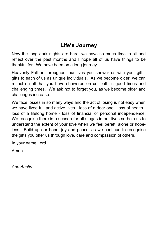## **Life's Journey**

Now the long dark nights are here, we have so much time to sit and reflect over the past months and I hope all of us have things to be thankful for. We have been on a long journey.

Heavenly Father, throughout our lives you shower us with your gifts; gifts to each of us as unique individuals. As we become older, we can reflect on all that you have showered on us, both in good times and challenging times. We ask not to forget you, as we become older and challenges increase.

We face losses in so many ways and the act of losing is not easy when we have lived full and active lives - loss of a dear one - loss of health loss of a lifelong home - loss of financial or personal independence. We recognise there is a season for all stages in our lives so help us to understand the extent of your love when we feel bereft, alone or hopeless. Build up our hope, joy and peace, as we continue to recognise the gifts you offer us through love, care and compassion of others.

In your name Lord

Amen

*Ann Austin*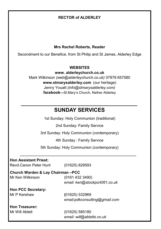#### **RECTOR of ALDERLEY**

#### **Mrs Rachel Roberts, Reader**

Secondment to our Benefice, from St Philip and St James, Alderley Edge

#### **WEBSITES**

**www. alderleychurch.co.uk**

Mark Wilkinson *(web@alderleychurch.co.uk)* 07879 657580 **www.stmarysalderley.com** (our heritage) Jenny Youatt *(info@stmarysalderley.com)*  **facebook—**St.Mary's Church, Nether Alderley

### **SUNDAY SERVICES**

1st Sunday: Holy Communion (traditional)

2nd Sunday: Family Service

3rd Sunday: Holy Communion (contemporary)

4th Sunday : Family Service

5th Sunday: Holy Communion (contemporary)

| <b>Hon Assistant Priest:</b> |  |  |
|------------------------------|--|--|
|                              |  |  |

Revd.Canon Peter Hunt (01625) 829593

#### **Church Warden & Lay Chairman –PCC**

Mr Ken Wilkinson (0161 432 3490) *email: ken@stockport061.co.uk*

**Hon PCC Secretary:** Mr P Kershaw **(**01625) 532969

*email:pdkconsulting@gmail.com*

#### **Hon Treasurer:**

Mr Will Ablett (01625) 585180 *email: will@abletts.co.uk*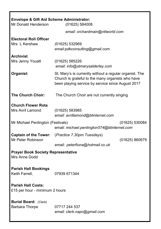| <b>Envelope &amp; Gift Aid Scheme Administrator:</b><br>Mr Donald Henderson<br>(01625) 584008 |                                                                                                                                                                   |                |  |  |  |
|-----------------------------------------------------------------------------------------------|-------------------------------------------------------------------------------------------------------------------------------------------------------------------|----------------|--|--|--|
|                                                                                               | email: orchardmain@ntlworld.com                                                                                                                                   |                |  |  |  |
| <b>Electoral Roll Officer</b><br>Mrs L Kershaw                                                | (01625) 532969<br>email:pdkconsulting@gmail.com                                                                                                                   |                |  |  |  |
| <b>Archivist</b><br>Mrs Jenny Youatt                                                          | (01625) 585226<br>email: info@stmarysalderley.com                                                                                                                 |                |  |  |  |
| Organist:                                                                                     | St. Mary's is currently without a regular organist. The<br>Church is grateful to the many organists who have<br>been playing service by service since August 2017 |                |  |  |  |
| <b>The Church Choir:</b><br>The Church Choir are nut currently singing                        |                                                                                                                                                                   |                |  |  |  |
| <b>Church Flower Rota</b>                                                                     |                                                                                                                                                                   |                |  |  |  |
| <b>Mrs Avril Lamond</b>                                                                       | (01625) 583985<br>email: avrillamond@btinternet.com                                                                                                               |                |  |  |  |
| Mr Michael Penlington (Festivals)                                                             | email: michael.penlington574@btinternet.com                                                                                                                       | (01625) 530084 |  |  |  |
| <b>Captain of the Tower:</b><br>Mr Peter Robinson                                             | (Practice 7.30pm Tuesdays)                                                                                                                                        | (01625) 860679 |  |  |  |
|                                                                                               | email: peterfiona@hotmail.co.uk                                                                                                                                   |                |  |  |  |
| <b>Prayer Book Society Representative</b><br>Mrs Anne Dodd                                    |                                                                                                                                                                   |                |  |  |  |
| <b>Parish Hall Bookings</b><br>Keith Farrell,                                                 | 07939 671344                                                                                                                                                      |                |  |  |  |
| <b>Parish Hall Costs:</b><br>£15 per hour - minimum 2 hours                                   |                                                                                                                                                                   |                |  |  |  |
| <b>Burial Board:</b> (Clerk)<br>Barbara Thorpe                                                | 07717 244 537<br>email: clerk.napc@gmail.com                                                                                                                      |                |  |  |  |